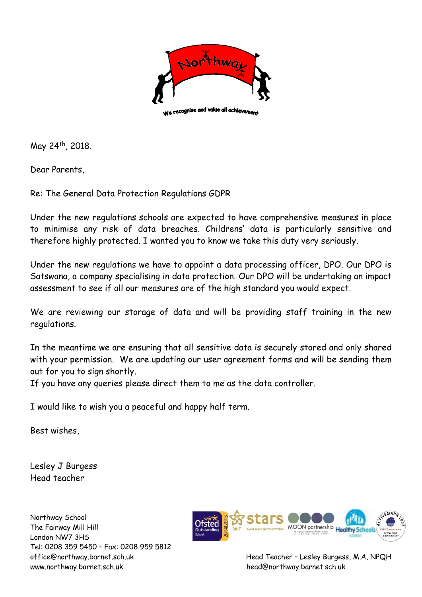

May 24<sup>th</sup>, 2018.

Dear Parents,

Re: The General Data Protection Regulations GDPR

Under the new regulations schools are expected to have comprehensive measures in place to minimise any risk of data breaches. Childrens' data is particularly sensitive and therefore highly protected. I wanted you to know we take this duty very seriously.

Under the new regulations we have to appoint a data processing officer, DPO. Our DPO is Satswana, a company specialising in data protection. Our DPO will be undertaking an impact assessment to see if all our measures are of the high standard you would expect.

We are reviewing our storage of data and will be providing staff training in the new regulations.

In the meantime we are ensuring that all sensitive data is securely stored and only shared with your permission. We are updating our user agreement forms and will be sending them out for you to sign shortly.

If you have any queries please direct them to me as the data controller.

I would like to wish you a peaceful and happy half term.

Best wishes,

Lesley J Burgess Head teacher

Northway School The Fairway Mill Hill London NW7 3HS Tel: 0208 359 5450 – Fax: 0208 959 5812 www.northway.barnet.sch.uk head@northway.barnet.sch.uk



office@northway.barnet.sch.uk Head Teacher – Lesley Burgess, M.A, NPQH